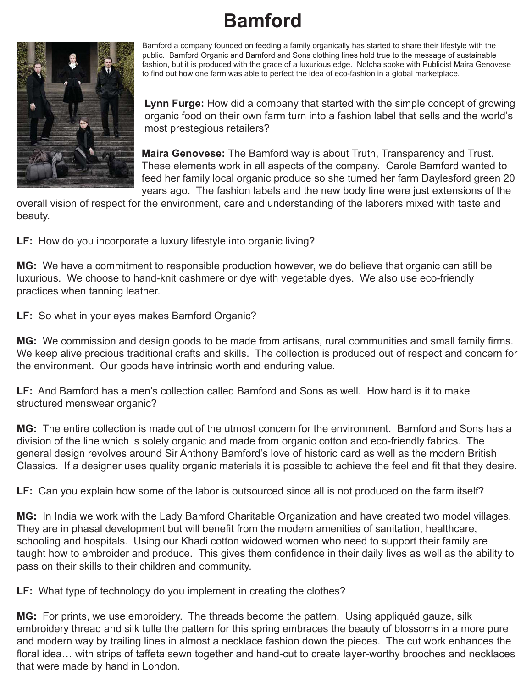## **Bamford**



Bamford a company founded on feeding a family organically has started to share their lifestyle with the public. Bamford Organic and Bamford and Sons clothing lines hold true to the message of sustainable fashion, but it is produced with the grace of a luxurious edge. Nolcha spoke with Publicist Maira Genovese to find out how one farm was able to perfect the idea of eco-fashion in a global marketplace.

 **Lynn Furge:** How did a company that started with the simple concept of growing organic food on their own farm turn into a fashion label that sells and the world's most prestegious retailers?

 **Maira Genovese:** The Bamford way is about Truth, Transparency and Trust. These elements work in all aspects of the company. Carole Bamford wanted to feed her family local organic produce so she turned her farm Daylesford green 20 years ago. The fashion labels and the new body line were just extensions of the

overall vision of respect for the environment, care and understanding of the laborers mixed with taste and beauty.

**LF:** How do you incorporate a luxury lifestyle into organic living?

**MG:** We have a commitment to responsible production however, we do believe that organic can still be luxurious. We choose to hand-knit cashmere or dye with vegetable dyes. We also use eco-friendly practices when tanning leather.

**LF:** So what in your eyes makes Bamford Organic?

**MG:** We commission and design goods to be made from artisans, rural communities and small family firms. We keep alive precious traditional crafts and skills. The collection is produced out of respect and concern for the environment. Our goods have intrinsic worth and enduring value.

**LF:** And Bamford has a men's collection called Bamford and Sons as well. How hard is it to make structured menswear organic?

**MG:** The entire collection is made out of the utmost concern for the environment. Bamford and Sons has a division of the line which is solely organic and made from organic cotton and eco-friendly fabrics. The general design revolves around Sir Anthony Bamford's love of historic card as well as the modern British Classics. If a designer uses quality organic materials it is possible to achieve the feel and fit that they desire.

**LF:** Can you explain how some of the labor is outsourced since all is not produced on the farm itself?

**MG:** In India we work with the Lady Bamford Charitable Organization and have created two model villages. They are in phasal development but will benefit from the modern amenities of sanitation, healthcare, schooling and hospitals. Using our Khadi cotton widowed women who need to support their family are taught how to embroider and produce. This gives them confidence in their daily lives as well as the ability to pass on their skills to their children and community.

**LF:** What type of technology do you implement in creating the clothes?

**MG:** For prints, we use embroidery. The threads become the pattern. Using appliquéd gauze, silk embroidery thread and silk tulle the pattern for this spring embraces the beauty of blossoms in a more pure and modern way by trailing lines in almost a necklace fashion down the pieces. The cut work enhances the floral idea… with strips of taffeta sewn together and hand-cut to create layer-worthy brooches and necklaces that were made by hand in London.